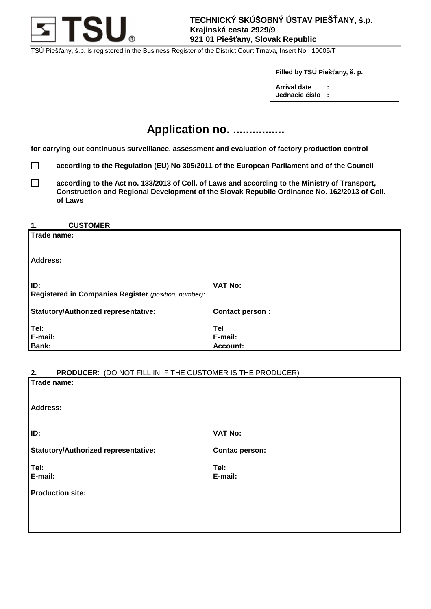

TSÚ Piešťany, š.p. is registered in the Business Register of the District Court Trnava, Insert No,: 10005/T

**Filled by TSÚ Piešťany, š. p. Arrival date :** 

**Jednacie číslo :**

# **Application no. ................**

**for carrying out continuous surveillance, assessment and evaluation of factory production control** 

- □ according to the Regulation (EU) No 305/2011 of the European Parliament and of the Council
- □ according to the Act no. 133/2013 of Coll. of Laws and according to the Ministry of Transport,  **Construction and Regional Development of the Slovak Republic Ordinance No. 162/2013 of Coll. of Laws**

#### **1. CUSTOMER**:

| Trade name:                                                 |                                   |
|-------------------------------------------------------------|-----------------------------------|
| <b>Address:</b>                                             |                                   |
| ID:<br>Registered in Companies Register (position, number): | <b>VAT No:</b>                    |
| <b>Statutory/Authorized representative:</b>                 | <b>Contact person:</b>            |
| Tel:<br>E-mail:<br>Bank:                                    | Tel<br>E-mail:<br><b>Account:</b> |

## **2. PRODUCER**: (DO NOT FILL IN IF THE CUSTOMER IS THE PRODUCER)

| Z.,<br><b>PRODUCER.</b> (DO NOT FILL IN IF THE COSTOMER IS THE PRODUCER) |                       |
|--------------------------------------------------------------------------|-----------------------|
| Trade name:                                                              |                       |
| <b>Address:</b>                                                          |                       |
| ID:                                                                      | <b>VAT No:</b>        |
| <b>Statutory/Authorized representative:</b>                              | <b>Contac person:</b> |
| Tel:<br>E-mail:                                                          | Tel:<br>E-mail:       |
| <b>Production site:</b>                                                  |                       |
|                                                                          |                       |
|                                                                          |                       |